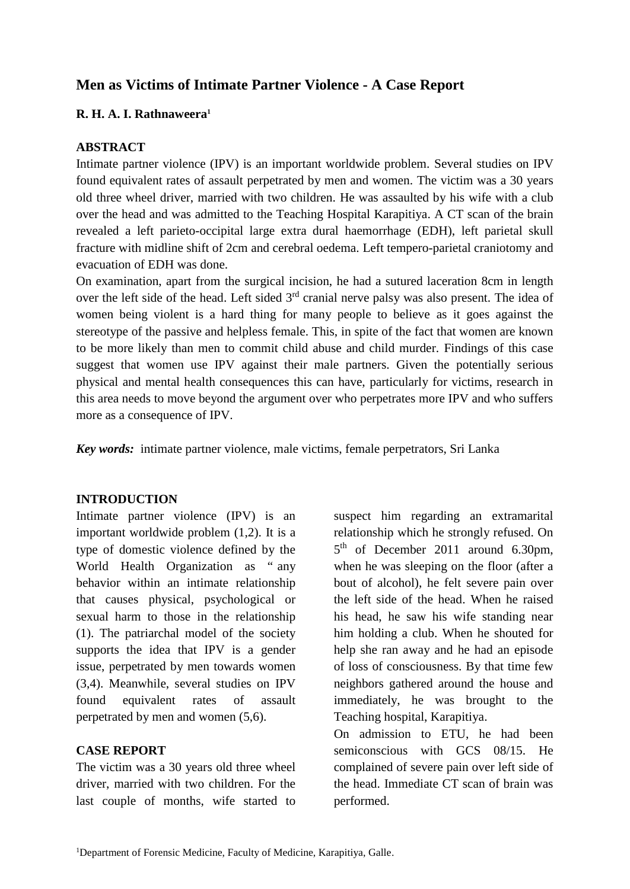# **Men as Victims of Intimate Partner Violence - A Case Report**

## **R. H. A. I. Rathnaweera<sup>1</sup>**

### **ABSTRACT**

Intimate partner violence (IPV) is an important worldwide problem. Several studies on IPV found equivalent rates of assault perpetrated by men and women. The victim was a 30 years old three wheel driver, married with two children. He was assaulted by his wife with a club over the head and was admitted to the Teaching Hospital Karapitiya. A CT scan of the brain revealed a left parieto-occipital large extra dural haemorrhage (EDH), left parietal skull fracture with midline shift of 2cm and cerebral oedema. Left tempero-parietal craniotomy and evacuation of EDH was done.

On examination, apart from the surgical incision, he had a sutured laceration 8cm in length over the left side of the head. Left sided 3<sup>rd</sup> cranial nerve palsy was also present. The idea of women being violent is a hard thing for many people to believe as it goes against the stereotype of the passive and helpless female. This, in spite of the fact that women are known to be more likely than men to commit child abuse and child murder. Findings of this case suggest that women use IPV against their male partners. Given the potentially serious physical and mental health consequences this can have, particularly for victims, research in this area needs to move beyond the argument over who perpetrates more IPV and who suffers more as a consequence of IPV.

*Key words:* intimate partner violence, male victims, female perpetrators, Sri Lanka

#### **INTRODUCTION**

Intimate partner violence (IPV) is an important worldwide problem (1,2). It is a type of domestic violence defined by the World Health Organization as " any behavior within an intimate relationship that causes physical, psychological or sexual harm to those in the relationship (1). The patriarchal model of the society supports the idea that IPV is a gender issue, perpetrated by men towards women (3,4). Meanwhile, several studies on IPV found equivalent rates of assault perpetrated by men and women (5,6).

#### **CASE REPORT**

The victim was a 30 years old three wheel driver, married with two children. For the last couple of months, wife started to

suspect him regarding an extramarital relationship which he strongly refused. On 5<sup>th</sup> of December 2011 around 6.30pm, when he was sleeping on the floor (after a bout of alcohol), he felt severe pain over the left side of the head. When he raised his head, he saw his wife standing near him holding a club. When he shouted for help she ran away and he had an episode of loss of consciousness. By that time few neighbors gathered around the house and immediately, he was brought to the Teaching hospital, Karapitiya.

On admission to ETU, he had been semiconscious with GCS 08/15. He complained of severe pain over left side of the head. Immediate CT scan of brain was performed.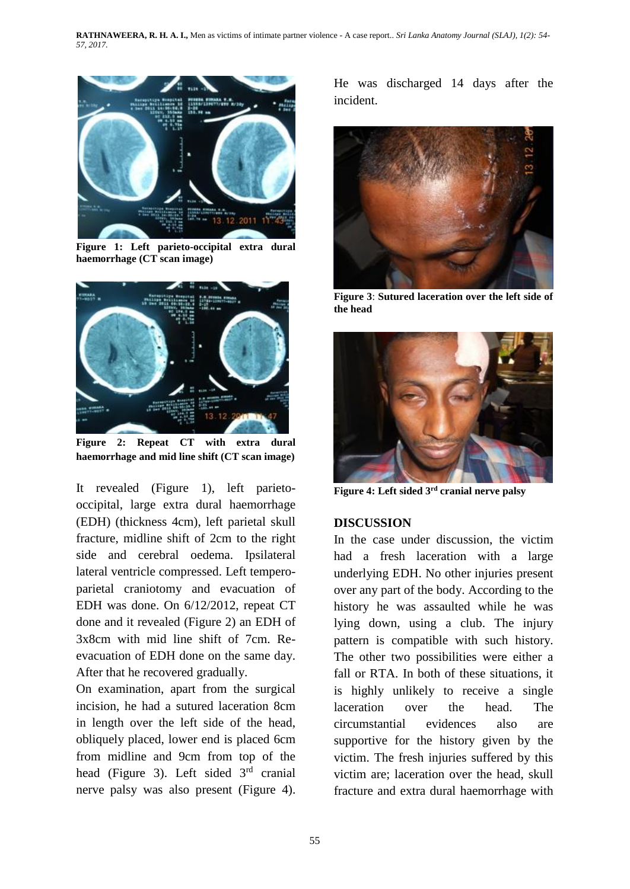**RATHNAWEERA, R. H. A. I.,** Men as victims of intimate partner violence - A case report.. *Sri Lanka Anatomy Journal (SLAJ), 1(2): 54- 57, 2017.*



**Figure 1: Left parieto-occipital extra dural haemorrhage (CT scan image)**



**Figure 2: Repeat CT with extra dural haemorrhage and mid line shift (CT scan image)**

It revealed (Figure 1), left parietooccipital, large extra dural haemorrhage (EDH) (thickness 4cm), left parietal skull fracture, midline shift of 2cm to the right side and cerebral oedema. Ipsilateral lateral ventricle compressed. Left temperoparietal craniotomy and evacuation of EDH was done. On 6/12/2012, repeat CT done and it revealed (Figure 2) an EDH of 3x8cm with mid line shift of 7cm. Reevacuation of EDH done on the same day. After that he recovered gradually.

On examination, apart from the surgical incision, he had a sutured laceration 8cm in length over the left side of the head, obliquely placed, lower end is placed 6cm from midline and 9cm from top of the head (Figure 3). Left sided 3rd cranial nerve palsy was also present (Figure 4). He was discharged 14 days after the incident.



**Figure 3**: **Sutured laceration over the left side of the head**



**Figure 4: Left sided 3rd cranial nerve palsy**

## **DISCUSSION**

In the case under discussion, the victim had a fresh laceration with a large underlying EDH. No other injuries present over any part of the body. According to the history he was assaulted while he was lying down, using a club. The injury pattern is compatible with such history. The other two possibilities were either a fall or RTA. In both of these situations, it is highly unlikely to receive a single laceration over the head. The circumstantial evidences also are supportive for the history given by the victim. The fresh injuries suffered by this victim are; laceration over the head, skull fracture and extra dural haemorrhage with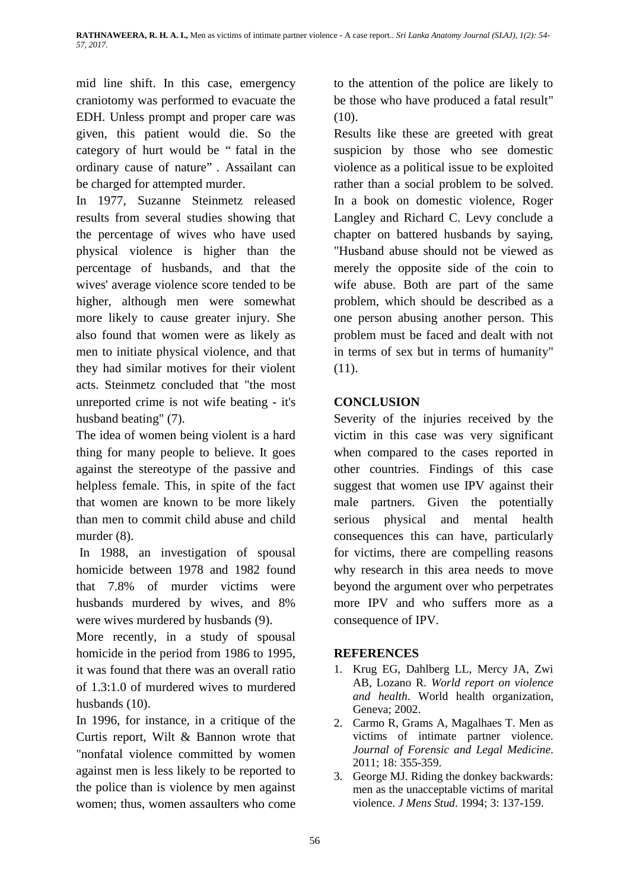mid line shift. In this case, emergency craniotomy was performed to evacuate the EDH. Unless prompt and proper care was given, this patient would die. So the category of hurt would be " fatal in the ordinary cause of nature" . Assailant can be charged for attempted murder.

In 1977, Suzanne Steinmetz released results from several studies showing that the percentage of wives who have used physical violence is higher than the percentage of husbands, and that the wives' average violence score tended to be higher, although men were somewhat more likely to cause greater injury. She also found that women were as likely as men to initiate physical violence, and that they had similar motives for their violent acts. Steinmetz concluded that "the most unreported crime is not wife beating - it's husband beating" (7).

The idea of women being violent is a hard thing for many people to believe. It goes against the stereotype of the passive and helpless female. This, in spite of the fact that women are known to be more likely than men to commit child abuse and child murder  $(8)$ .

In 1988, an investigation of spousal homicide between 1978 and 1982 found that 7.8% of murder victims were husbands murdered by wives, and 8% were wives murdered by husbands (9).

More recently, in a study of spousal homicide in the period from 1986 to 1995, it was found that there was an overall ratio of 1.3:1.0 of murdered wives to murdered husbands (10).

In 1996, for instance, in a critique of the Curtis report, Wilt & Bannon wrote that "nonfatal violence committed by women against men is less likely to be reported to the police than is violence by men against women; thus, women assaulters who come to the attention of the police are likely to be those who have produced a fatal result" (10).

Results like these are greeted with great suspicion by those who see domestic violence as a political issue to be exploited rather than a social problem to be solved. In a book on domestic violence, Roger Langley and Richard C. Levy conclude a chapter on battered husbands by saying, "Husband abuse should not be viewed as merely the opposite side of the coin to wife abuse. Both are part of the same problem, which should be described as a one person abusing another person. This problem must be faced and dealt with not in terms of sex but in terms of humanity" (11).

# **CONCLUSION**

Severity of the injuries received by the victim in this case was very significant when compared to the cases reported in other countries. Findings of this case suggest that women use IPV against their male partners. Given the potentially serious physical and mental health consequences this can have, particularly for victims, there are compelling reasons why research in this area needs to move beyond the argument over who perpetrates more IPV and who suffers more as a consequence of IPV.

## **REFERENCES**

- 1. Krug EG, Dahlberg LL, Mercy JA, Zwi AB, Lozano R. *World report on violence and health*. World health organization, Geneva; 2002.
- 2. Carmo R, Grams A, Magalhaes T. Men as victims of intimate partner violence. *Journal of Forensic and Legal Medicine*. 2011; 18: 355-359.
- 3. George MJ. Riding the donkey backwards: men as the unacceptable victims of marital violence. *J Mens Stud*. 1994; 3: 137-159.